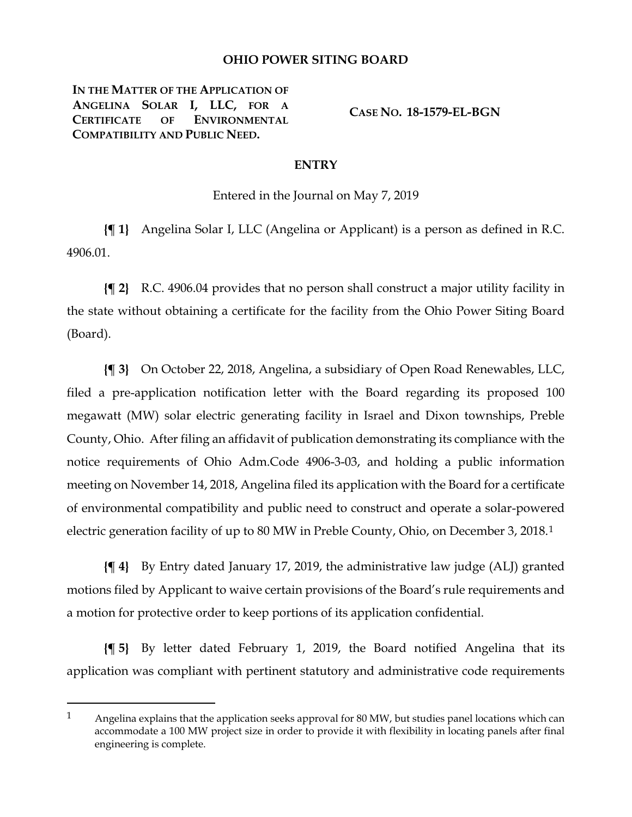## **OHIO POWER SITING BOARD**

**IN THE MATTER OF THE APPLICATION OF ANGELINA SOLAR I, LLC, FOR A CERTIFICATE OF ENVIRONMENTAL COMPATIBILITY AND PUBLIC NEED.**

 $\overline{a}$ 

**CASE NO. 18-1579-EL-BGN**

## **ENTRY**

Entered in the Journal on May 7, 2019

**{¶ 1}** Angelina Solar I, LLC (Angelina or Applicant) is a person as defined in R.C. 4906.01.

**{¶ 2}** R.C. 4906.04 provides that no person shall construct a major utility facility in the state without obtaining a certificate for the facility from the Ohio Power Siting Board (Board).

**{¶ 3}** On October 22, 2018, Angelina, a subsidiary of Open Road Renewables, LLC, filed a pre-application notification letter with the Board regarding its proposed 100 megawatt (MW) solar electric generating facility in Israel and Dixon townships, Preble County, Ohio. After filing an affidavit of publication demonstrating its compliance with the notice requirements of Ohio Adm.Code 4906-3-03, and holding a public information meeting on November 14, 2018, Angelina filed its application with the Board for a certificate of environmental compatibility and public need to construct and operate a solar-powered electric generation facility of up to 80 MW in Preble County, Ohio, on December 3, 2018.[1](#page-0-0)

**{¶ 4}** By Entry dated January 17, 2019, the administrative law judge (ALJ) granted motions filed by Applicant to waive certain provisions of the Board's rule requirements and a motion for protective order to keep portions of its application confidential.

**{¶ 5}** By letter dated February 1, 2019, the Board notified Angelina that its application was compliant with pertinent statutory and administrative code requirements

<span id="page-0-0"></span><sup>1</sup> Angelina explains that the application seeks approval for 80 MW, but studies panel locations which can accommodate a 100 MW project size in order to provide it with flexibility in locating panels after final engineering is complete.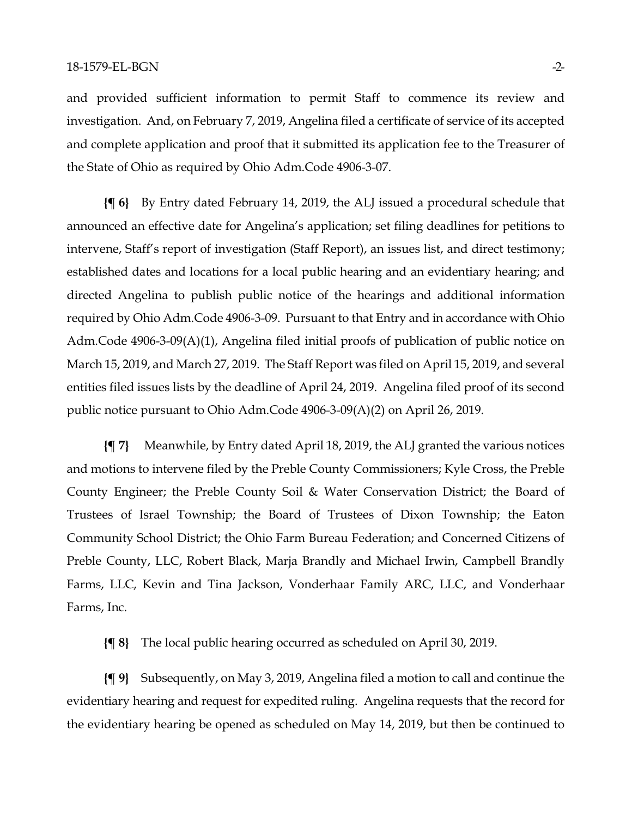and provided sufficient information to permit Staff to commence its review and investigation. And, on February 7, 2019, Angelina filed a certificate of service of its accepted and complete application and proof that it submitted its application fee to the Treasurer of the State of Ohio as required by Ohio Adm.Code 4906-3-07.

**{¶ 6}** By Entry dated February 14, 2019, the ALJ issued a procedural schedule that announced an effective date for Angelina's application; set filing deadlines for petitions to intervene, Staff's report of investigation (Staff Report), an issues list, and direct testimony; established dates and locations for a local public hearing and an evidentiary hearing; and directed Angelina to publish public notice of the hearings and additional information required by Ohio Adm.Code 4906-3-09. Pursuant to that Entry and in accordance with Ohio Adm.Code 4906-3-09(A)(1), Angelina filed initial proofs of publication of public notice on March 15, 2019, and March 27, 2019. The Staff Report was filed on April 15, 2019, and several entities filed issues lists by the deadline of April 24, 2019. Angelina filed proof of its second public notice pursuant to Ohio Adm.Code 4906-3-09(A)(2) on April 26, 2019.

**{¶ 7}** Meanwhile, by Entry dated April 18, 2019, the ALJ granted the various notices and motions to intervene filed by the Preble County Commissioners; Kyle Cross, the Preble County Engineer; the Preble County Soil & Water Conservation District; the Board of Trustees of Israel Township; the Board of Trustees of Dixon Township; the Eaton Community School District; the Ohio Farm Bureau Federation; and Concerned Citizens of Preble County, LLC, Robert Black, Marja Brandly and Michael Irwin, Campbell Brandly Farms, LLC, Kevin and Tina Jackson, Vonderhaar Family ARC, LLC, and Vonderhaar Farms, Inc.

**{¶ 8}** The local public hearing occurred as scheduled on April 30, 2019.

**{¶ 9}** Subsequently, on May 3, 2019, Angelina filed a motion to call and continue the evidentiary hearing and request for expedited ruling. Angelina requests that the record for the evidentiary hearing be opened as scheduled on May 14, 2019, but then be continued to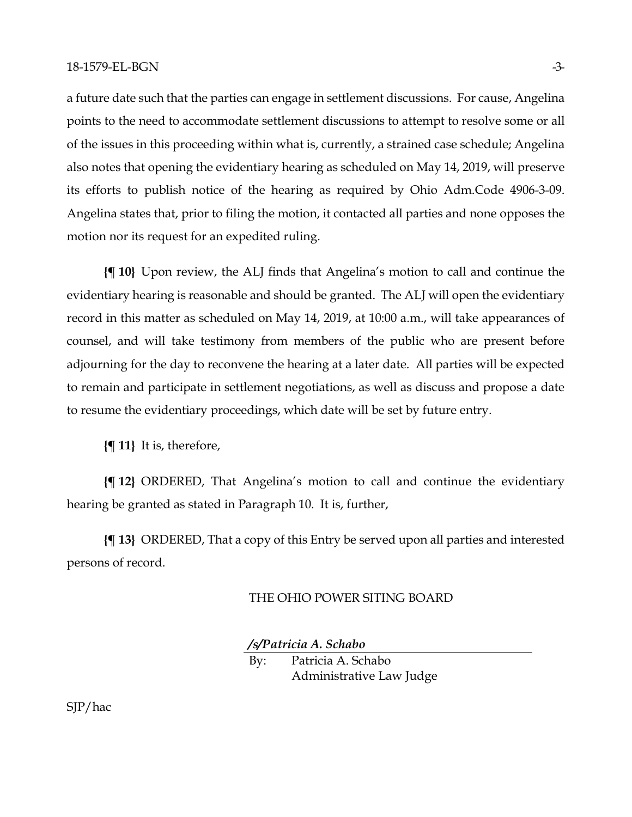a future date such that the parties can engage in settlement discussions. For cause, Angelina points to the need to accommodate settlement discussions to attempt to resolve some or all of the issues in this proceeding within what is, currently, a strained case schedule; Angelina also notes that opening the evidentiary hearing as scheduled on May 14, 2019, will preserve its efforts to publish notice of the hearing as required by Ohio Adm.Code 4906-3-09. Angelina states that, prior to filing the motion, it contacted all parties and none opposes the motion nor its request for an expedited ruling.

**{¶ 10}** Upon review, the ALJ finds that Angelina's motion to call and continue the evidentiary hearing is reasonable and should be granted. The ALJ will open the evidentiary record in this matter as scheduled on May 14, 2019, at 10:00 a.m., will take appearances of counsel, and will take testimony from members of the public who are present before adjourning for the day to reconvene the hearing at a later date. All parties will be expected to remain and participate in settlement negotiations, as well as discuss and propose a date to resume the evidentiary proceedings, which date will be set by future entry.

**{¶ 11}** It is, therefore,

**{¶ 12}** ORDERED, That Angelina's motion to call and continue the evidentiary hearing be granted as stated in Paragraph 10. It is, further,

**{¶ 13}** ORDERED, That a copy of this Entry be served upon all parties and interested persons of record.

## THE OHIO POWER SITING BOARD

*/s/Patricia A. Schabo*

By: Patricia A. Schabo Administrative Law Judge